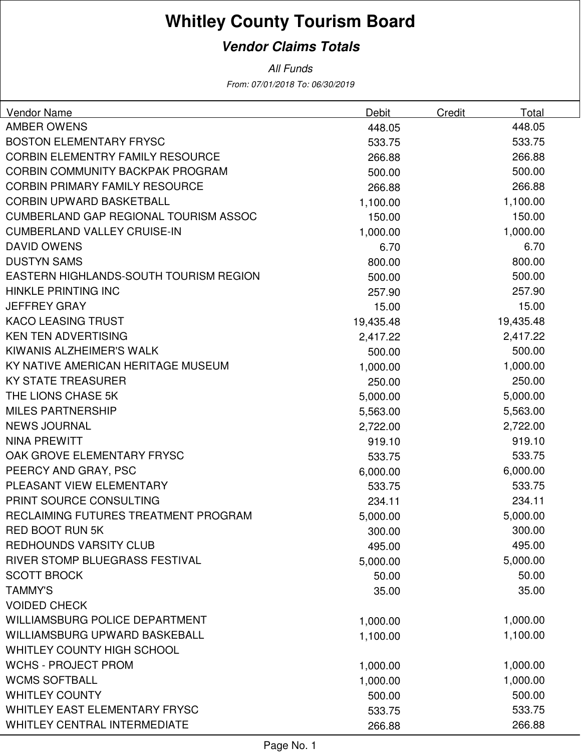## **Whitley County Tourism Board**

## **Vendor Claims Totals**

From: 07/01/2018 To: 06/30/2019 All Funds

| Vendor Name                                  | Debit     | Credit | Total     |
|----------------------------------------------|-----------|--------|-----------|
| <b>AMBER OWENS</b>                           | 448.05    |        | 448.05    |
| <b>BOSTON ELEMENTARY FRYSC</b>               | 533.75    |        | 533.75    |
| <b>CORBIN ELEMENTRY FAMILY RESOURCE</b>      | 266.88    |        | 266.88    |
| <b>CORBIN COMMUNITY BACKPAK PROGRAM</b>      | 500.00    |        | 500.00    |
| <b>CORBIN PRIMARY FAMILY RESOURCE</b>        | 266.88    |        | 266.88    |
| <b>CORBIN UPWARD BASKETBALL</b>              | 1,100.00  |        | 1,100.00  |
| <b>CUMBERLAND GAP REGIONAL TOURISM ASSOC</b> | 150.00    |        | 150.00    |
| <b>CUMBERLAND VALLEY CRUISE-IN</b>           | 1,000.00  |        | 1,000.00  |
| <b>DAVID OWENS</b>                           | 6.70      |        | 6.70      |
| <b>DUSTYN SAMS</b>                           | 800.00    |        | 800.00    |
| EASTERN HIGHLANDS-SOUTH TOURISM REGION       | 500.00    |        | 500.00    |
| <b>HINKLE PRINTING INC</b>                   | 257.90    |        | 257.90    |
| <b>JEFFREY GRAY</b>                          | 15.00     |        | 15.00     |
| <b>KACO LEASING TRUST</b>                    | 19,435.48 |        | 19,435.48 |
| <b>KEN TEN ADVERTISING</b>                   | 2,417.22  |        | 2,417.22  |
| KIWANIS ALZHEIMER'S WALK                     | 500.00    |        | 500.00    |
| KY NATIVE AMERICAN HERITAGE MUSEUM           | 1,000.00  |        | 1,000.00  |
| <b>KY STATE TREASURER</b>                    | 250.00    |        | 250.00    |
| THE LIONS CHASE 5K                           | 5,000.00  |        | 5,000.00  |
| <b>MILES PARTNERSHIP</b>                     | 5,563.00  |        | 5,563.00  |
| <b>NEWS JOURNAL</b>                          | 2,722.00  |        | 2,722.00  |
| <b>NINA PREWITT</b>                          | 919.10    |        | 919.10    |
| OAK GROVE ELEMENTARY FRYSC                   | 533.75    |        | 533.75    |
| PEERCY AND GRAY, PSC                         | 6,000.00  |        | 6,000.00  |
| PLEASANT VIEW ELEMENTARY                     | 533.75    |        | 533.75    |
| PRINT SOURCE CONSULTING                      | 234.11    |        | 234.11    |
| RECLAIMING FUTURES TREATMENT PROGRAM         | 5,000.00  |        | 5,000.00  |
| <b>RED BOOT RUN 5K</b>                       | 300.00    |        | 300.00    |
| <b>REDHOUNDS VARSITY CLUB</b>                | 495.00    |        | 495.00    |
| RIVER STOMP BLUEGRASS FESTIVAL               | 5,000.00  |        | 5,000.00  |
| <b>SCOTT BROCK</b>                           | 50.00     |        | 50.00     |
| <b>TAMMY'S</b>                               | 35.00     |        | 35.00     |
| <b>VOIDED CHECK</b>                          |           |        |           |
| WILLIAMSBURG POLICE DEPARTMENT               | 1,000.00  |        | 1,000.00  |
| <b>WILLIAMSBURG UPWARD BASKEBALL</b>         | 1,100.00  |        | 1,100.00  |
| WHITLEY COUNTY HIGH SCHOOL                   |           |        |           |
| <b>WCHS - PROJECT PROM</b>                   | 1,000.00  |        | 1,000.00  |
| <b>WCMS SOFTBALL</b>                         | 1,000.00  |        | 1,000.00  |
| <b>WHITLEY COUNTY</b>                        | 500.00    |        | 500.00    |
| <b>WHITLEY EAST ELEMENTARY FRYSC</b>         | 533.75    |        | 533.75    |
| <b>WHITLEY CENTRAL INTERMEDIATE</b>          | 266.88    |        | 266.88    |